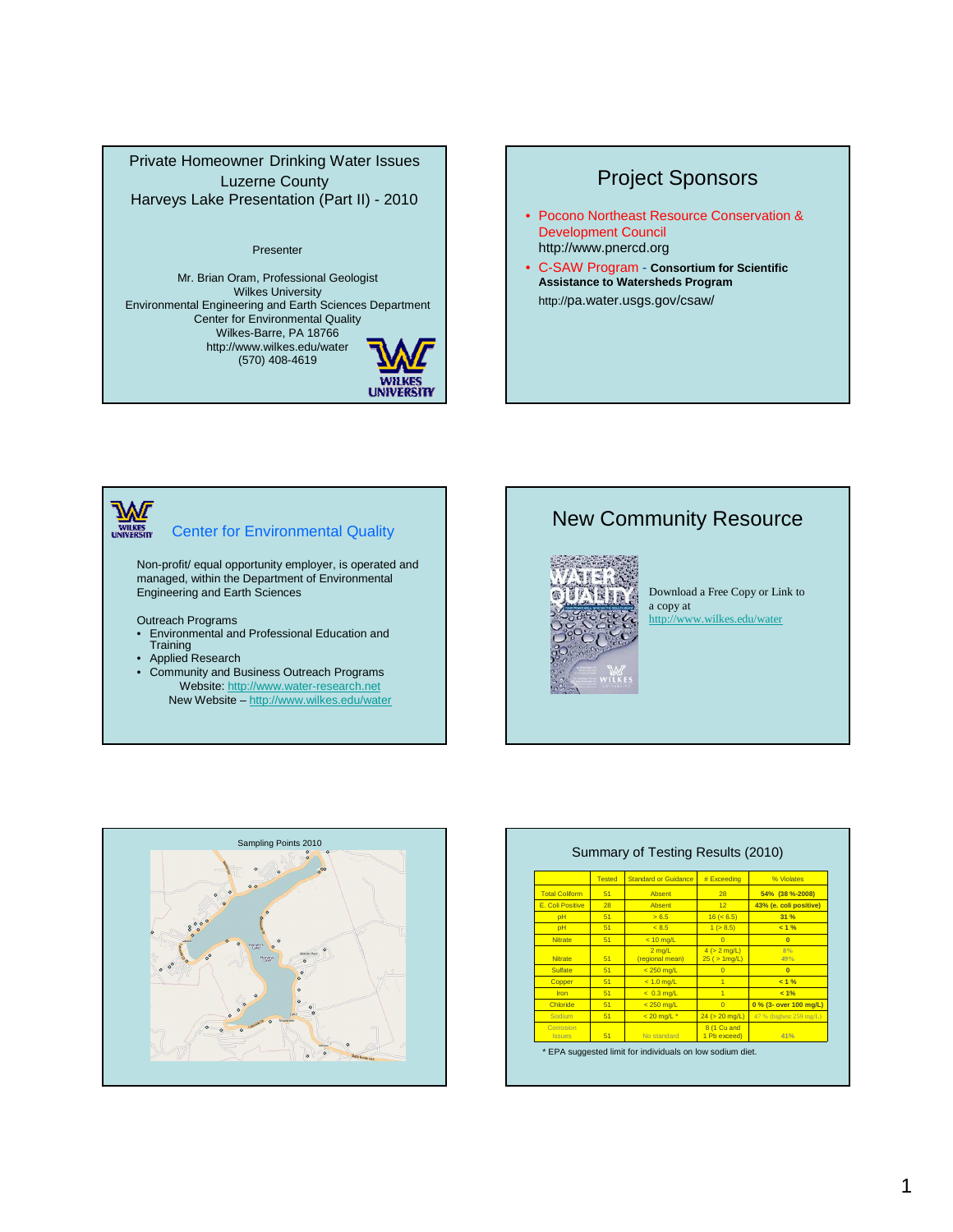#### Private Homeowner Drinking Water Issues Luzerne County Harveys Lake Presentation (Part II) - 2010

#### Presenter

Mr. Brian Oram, Professional Geologist Wilkes University Environmental Engineering and Earth Sciences Department Center for Environmental Quality Wilkes-Barre, PA 18766 http://www.wilkes.edu/water (570) 408-4619



# Project Sponsors

- Pocono Northeast Resource Conservation & Development Council http://www.pnercd.org
- C-SAW Program **Consortium for Scientific Assistance to Watersheds Program** http://pa.water.usgs.gov/csaw/

**WILKES** Center for Environmental Quality

Non-profit/ equal opportunity employer, is operated and managed, within the Department of Environmental Engineering and Earth Sciences

Outreach Programs

- Environmental and Professional Education and Training
- Applied Research
- Community and Business Outreach Programs Website: http://www.water-research.net New Website – http://www.wilkes.edu/water

## New Community Resource



Download a Free Copy or Link to a copy at http://www.wilkes.edu/water



|                            | <b>Tested</b> | <b>Standard or Guidance</b>         | # Exceeding                          | % Violates              |
|----------------------------|---------------|-------------------------------------|--------------------------------------|-------------------------|
| <b>Total Coliform</b>      | 51            | Absent                              | 28                                   | 54% (38 %-2008)         |
| E. Coli Positive           | 28            | Absent                              | 12 <sup>1</sup>                      | 43% (e. coli positive)  |
| pH                         | 51            | 56.5                                | 16 (< 6.5)                           | 31 %                    |
| pH                         | 51            | < 8.5                               | 1 ( > 8.5)                           | < 1 %                   |
| <b>Nitrate</b>             | 51            | $< 10$ mg/L                         | $\Omega$                             | $\Omega$                |
| <b>Nitrate</b>             | 51            | $2 \text{ ma/L}$<br>(regional mean) | $4 (> 2$ mg/L)<br>$25$ ( $> 1$ mg/L) | 8%<br>49%               |
| Sulfate                    | 51            | $< 250$ ma/L                        | $\Omega$                             | $\overline{0}$          |
| Copper                     | 51            | $< 1.0$ ma/L                        | $\overline{1}$                       | 21%                     |
| Iron                       | 51            | $< 0.3$ ma/L                        | $\overline{1}$                       | 2 1%                    |
| Chloride                   | 51            | $< 250$ mg/L                        | $\Omega$                             | 0 % (3- over 100 mg/L)  |
| Sodium                     | 51            | $< 20$ mg/L $*$                     | $24$ ( $> 20$ mg/L)                  | 47 % (highest 259 mg/L) |
| Corrosion<br><b>Issues</b> | 51            | No standard                         | 8 (1 Cu and<br>1 Pb exceed)          | 41%                     |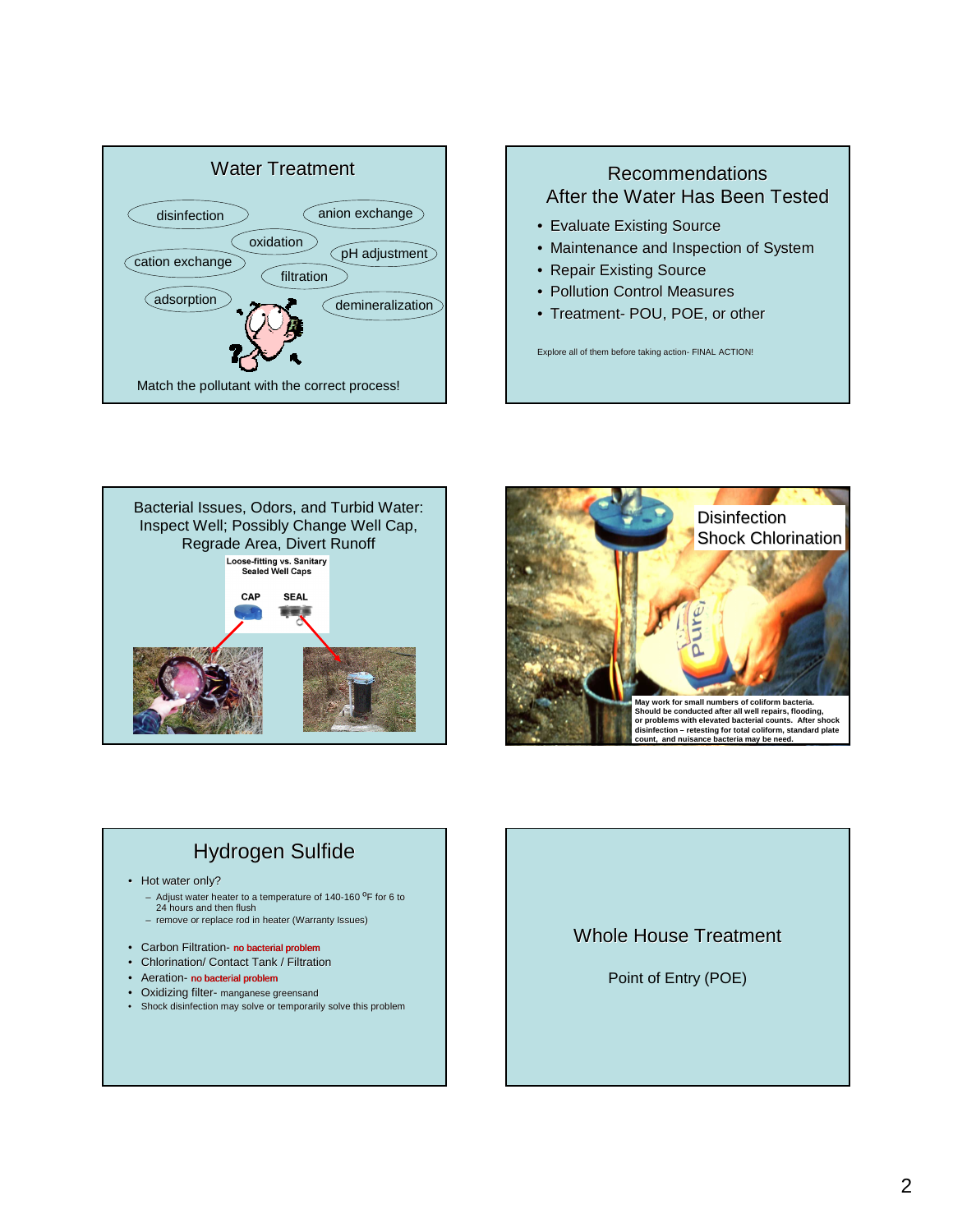

# Recommendations After the Water Has Been Tested

- Evaluate Existing Source
- Maintenance and Inspection of System
- Repair Existing Source
- Pollution Control Measures
- Treatment- POU, POE, or other

Explore all of them before taking action- FINAL ACTION!





# Hydrogen Sulfide

- Hot water only?
	- Adjust water heater to a temperature of 140-160 <sup>o</sup>F for 6 to<br>24 hours and then flush
	- remove or replace rod in heater (Warranty Issues)
- Carbon Filtration- no bacterial problem
- Chlorination/ Contact Tank / Filtration
- Aeration- no bacterial problem
- Oxidizing filter- manganese greensand
- Shock disinfection may solve or temporarily solve this problem

### Whole House Treatment

Point of Entry (POE)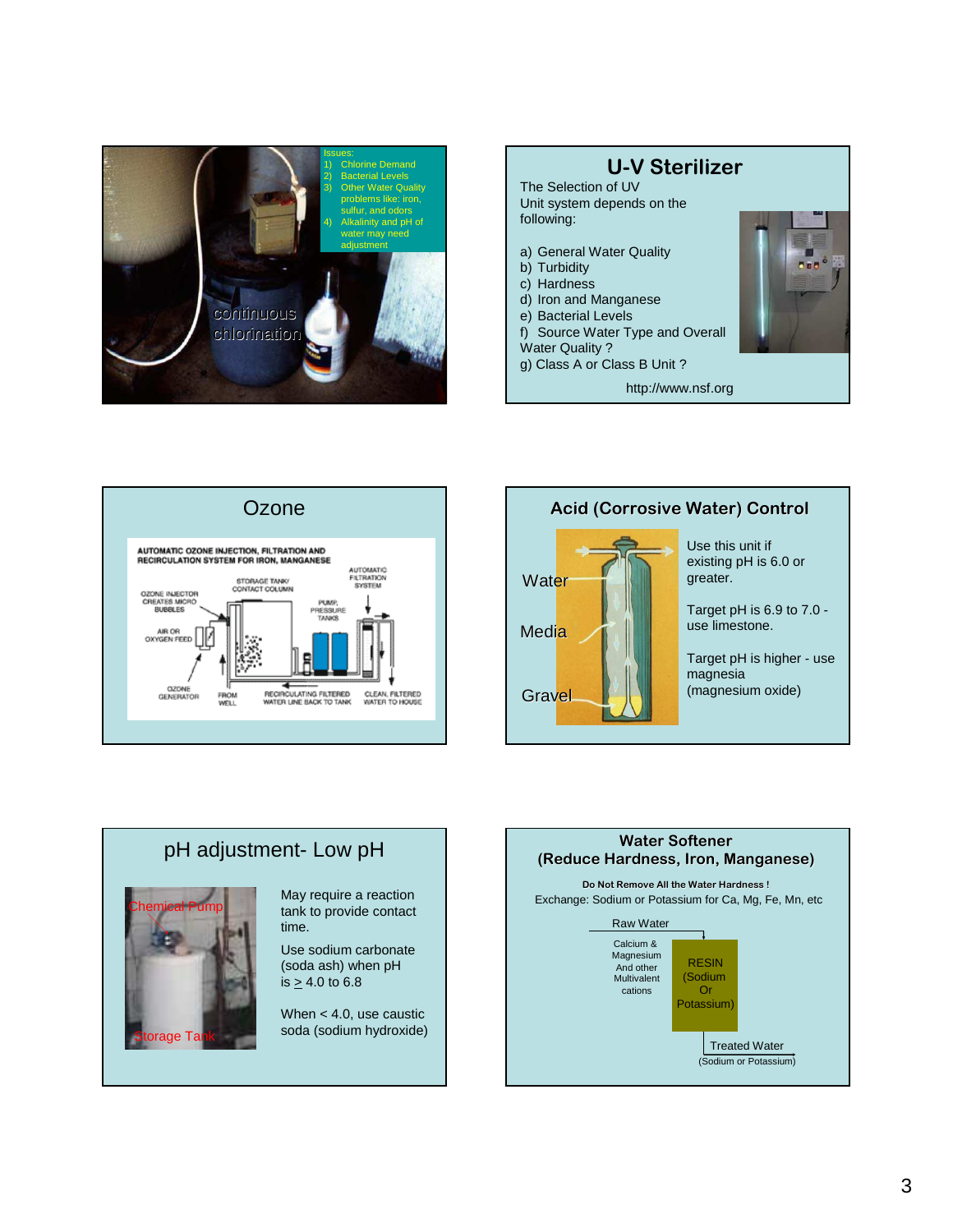





### Ozone **Acid (Corrosive Water)** Control



Use this unit if existing pH is 6.0 or greater.

Target pH is 6.9 to 7.0 use limestone.

Target pH is higher - use magnesia (magnesium oxide)

### pH adjustment- Low pH Chemical Pump May require a reaction tank to provide contact time. Use sodium carbonate

orage Ta

(soda ash) when pH is  $\geq 4.0$  to 6.8

> When < 4.0, use caustic soda (sodium hydroxide)

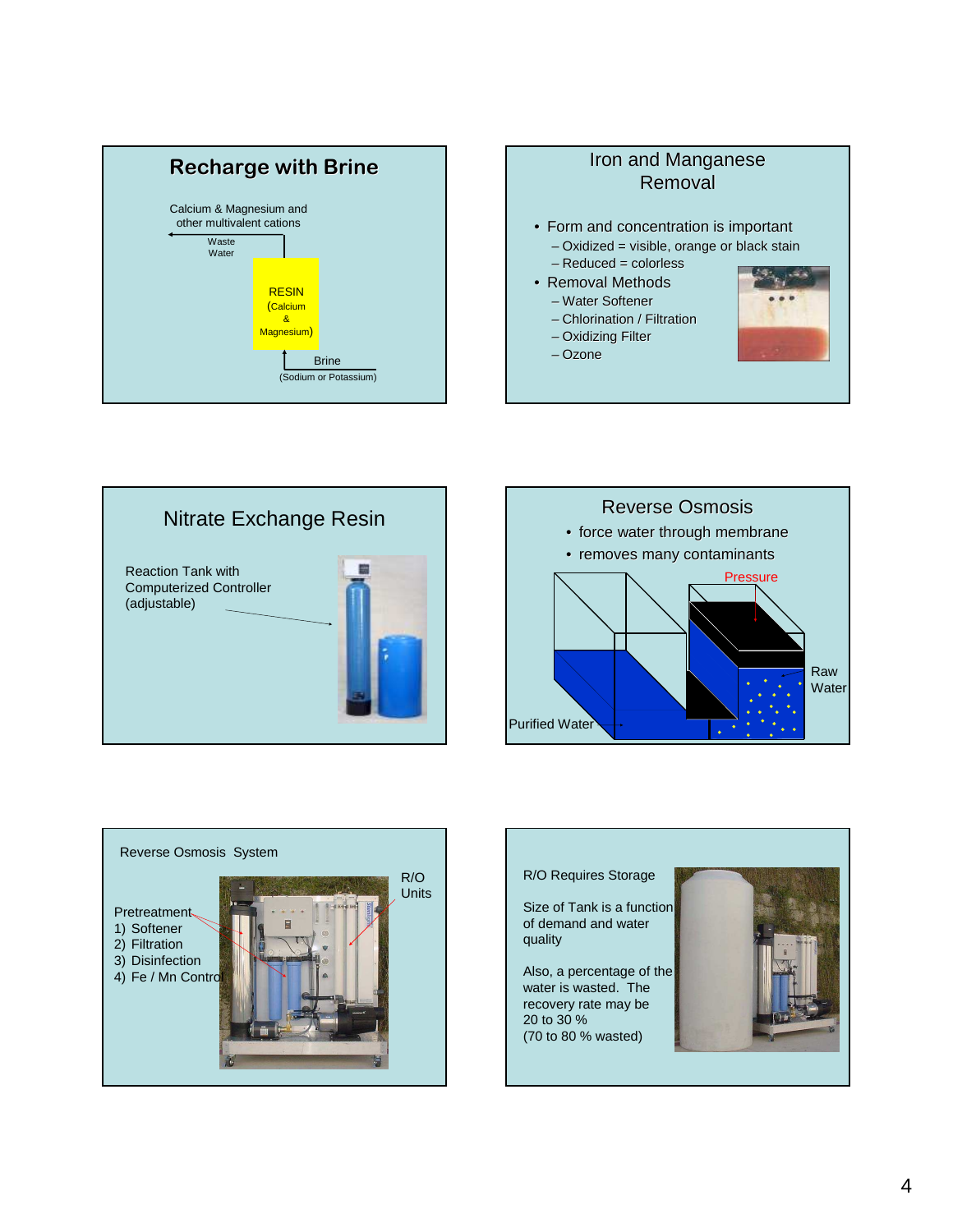







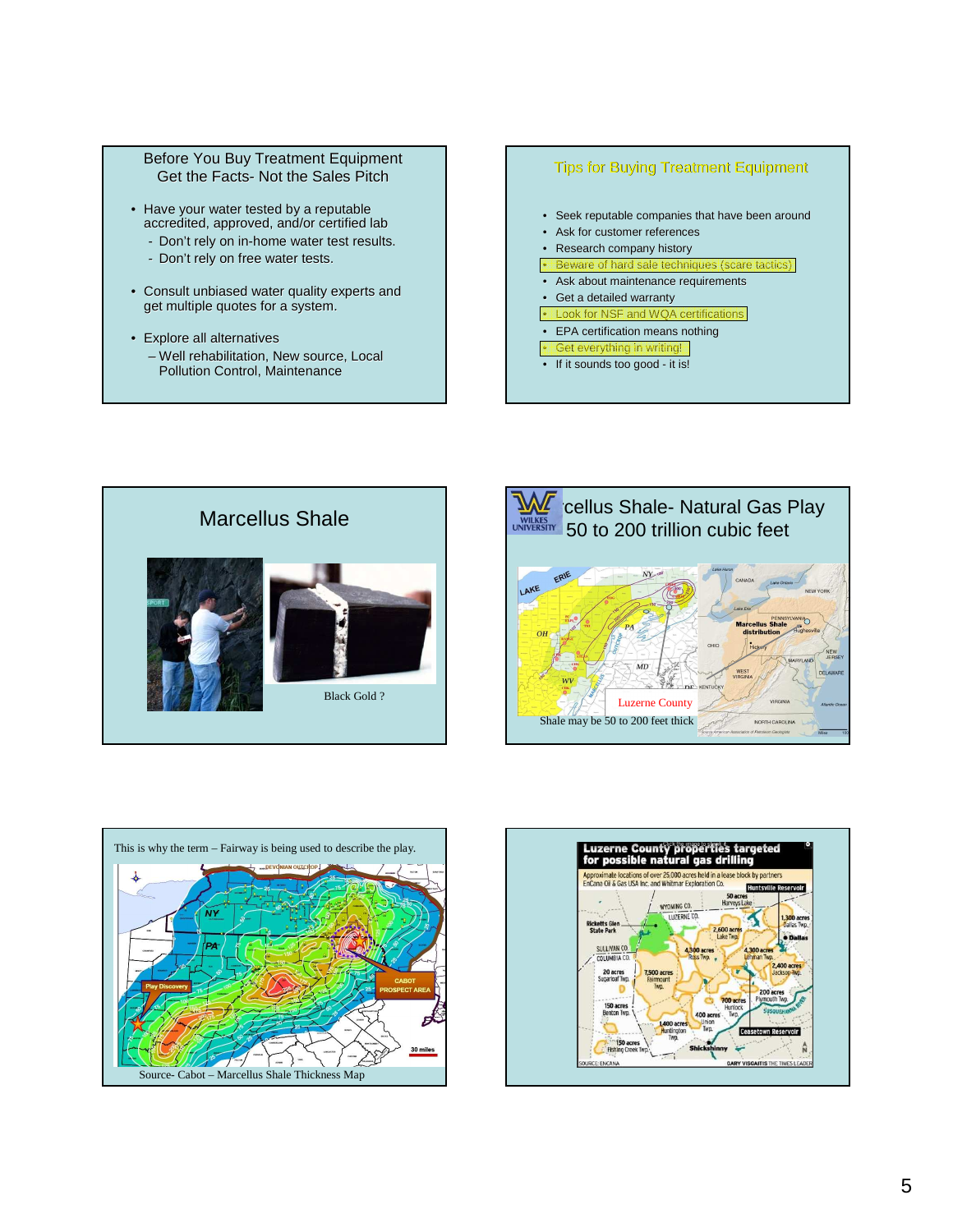#### Before You Buy Treatment Equipment Get the Facts- Not the Sales Pitch

- Have your water tested by a reputable accredited, approved, and/or certified lab
	- Don't rely on in-home water test results.
	- Don't rely on free water tests.
- Consult unbiased water quality experts and get multiple quotes for a system.
- Explore all alternatives – Well rehabilitation, New source, Local Pollution Control, Maintenance

#### Tips for Buying Treatment Equipment

- Seek reputable companies that have been around
- Ask for customer references
- Research company history
- Beware of hard sale techniques (scare tactics)
- Ask about maintenance requirements
- Get a detailed warranty
- Look for NSF and WQA certification • EPA certification means nothing
- Get everything in writing!
- If it sounds too good it is!

Marcellus Shale Black Gold ?





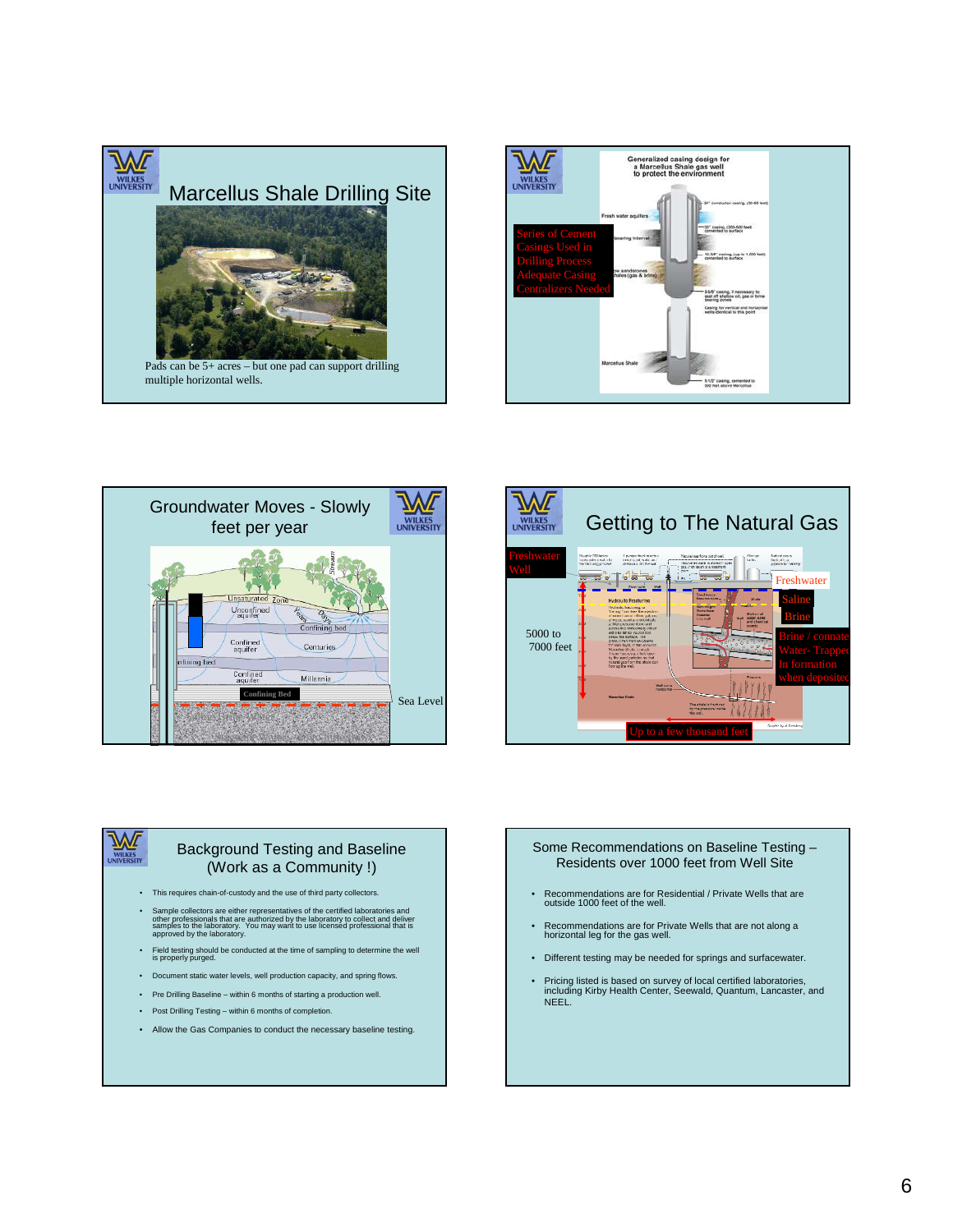







#### Background Testing and Baseline (Work as a Community !)

- This requires chain-of-custody and the use of third party collectors.
- Sample collectors are either representatives of the certified laboratories and<br>other professionals that are authorized by the laboratory to collect and deliver<br>approved by the laboratory.<br>approved by the laboratory.
- Field testing should be conducted at the time of sampling to determine the well is properly purged.
- Document static water levels, well production capacity, and spring flows.
- Pre Drilling Baseline within 6 months of starting a production well.
- Post Drilling Testing within 6 months of completion.
- Allow the Gas Companies to conduct the necessary baseline testing.

#### Some Recommendations on Baseline Testing – Residents over 1000 feet from Well Site

- Recommendations are for Residential / Private Wells that are outside 1000 feet of the well.
- Recommendations are for Private Wells that are not along a horizontal leg for the gas well.
- Different testing may be needed for springs and surfacewater.
- Pricing listed is based on survey of local certified laboratories, including Kirby Health Center, Seewald, Quantum, Lancaster, and NEEL.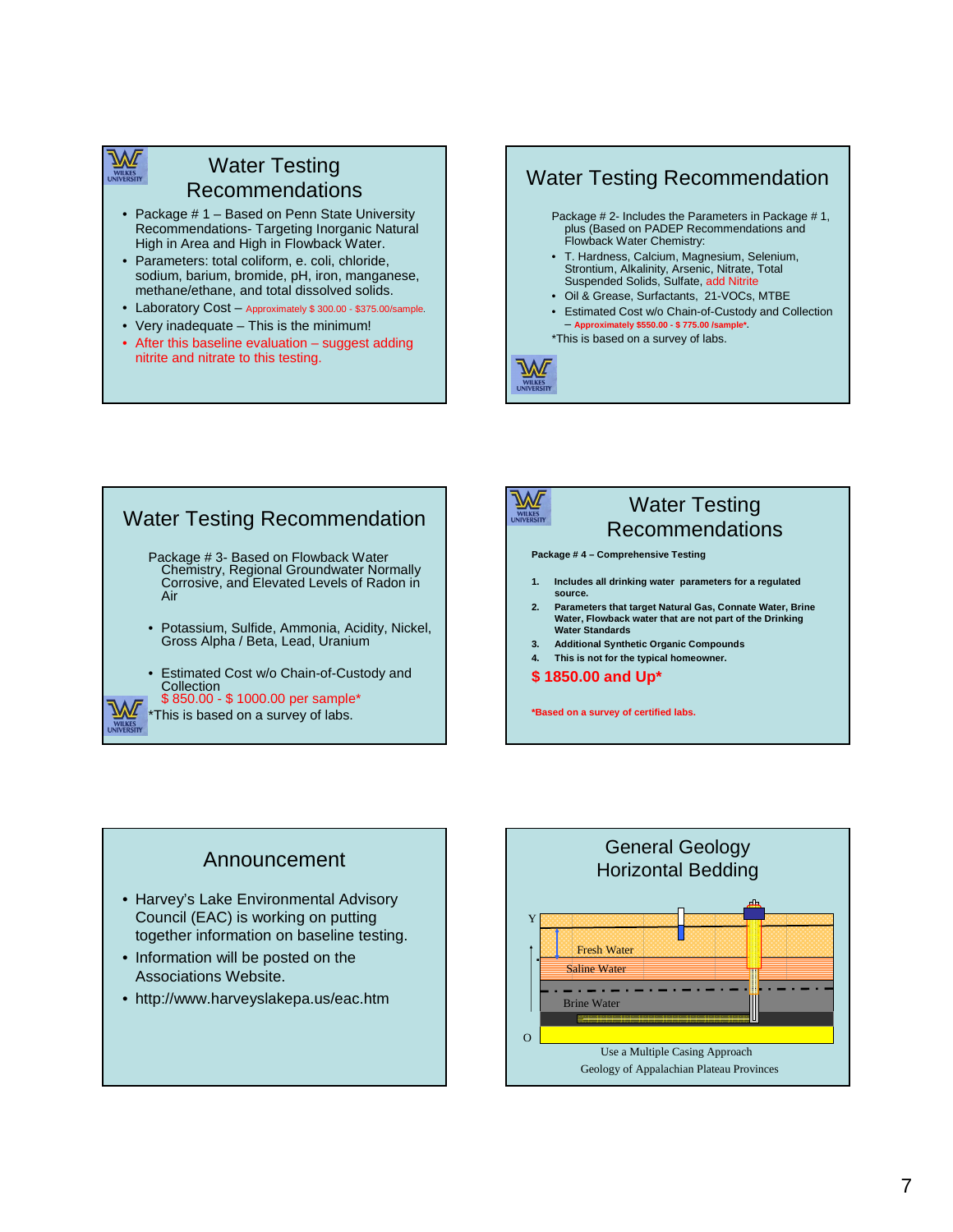### Water Testing Recommendations

- Package # 1 Based on Penn State University Recommendations- Targeting Inorganic Natural High in Area and High in Flowback Water.
- Parameters: total coliform, e. coli, chloride, sodium, barium, bromide, pH, iron, manganese, methane/ethane, and total dissolved solids.
- Laboratory Cost Approximately \$ 300.00 \$375.00/sample.
- Very inadequate This is the minimum!
- After this baseline evaluation  $-$  suggest adding nitrite and nitrate to this testing.

### Water Testing Recommendation

- Package # 2- Includes the Parameters in Package # 1, plus (Based on PADEP Recommendations and Flowback Water Chemistry:
- T. Hardness, Calcium, Magnesium, Selenium, Strontium, Alkalinity, Arsenic, Nitrate, Total Suspended Solids, Sulfate, add Nitrite
- Oil & Grease, Surfactants, 21-VOCs, MTBE
	- Estimated Cost w/o Chain-of-Custody and Collection – **Approximately \$550.00 - \$ 775.00 /sample\*.**
- \*This is based on a survey of labs.



### Water Testing Recommendation Package # 3- Based on Flowback Water Chemistry, Regional Groundwater Normally Corrosive, and Elevated Levels of Radon in Air • Potassium, Sulfide, Ammonia, Acidity, Nickel, Gross Alpha / Beta, Lead, Uranium • Estimated Cost w/o Chain-of-Custody and **Collection** \$ 850.00 - \$ 1000.00 per sample\* This is based on a survey of labs.



### Water Testing Recommendations

**Package # 4 – Comprehensive Testing** 

- **1. Includes all drinking water parameters for a regulated source.**
- **2. Parameters that target Natural Gas, Connate Water, Brine Water, Flowback water that are not part of the Drinking Water Standards**
- **3. Additional Synthetic Organic Compounds**
- **4. This is not for the typical homeowner.**
- **\$ 1850.00 and Up\***

**\*Based on a survey of certified labs.**

# Announcement

- Harvey's Lake Environmental Advisory Council (EAC) is working on putting together information on baseline testing.
- Information will be posted on the Associations Website.
- http://www.harveyslakepa.us/eac.htm